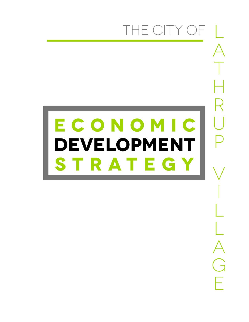# THE CITY OF

G

# ECONOMIC **DEVELOPMENT** STRATEGY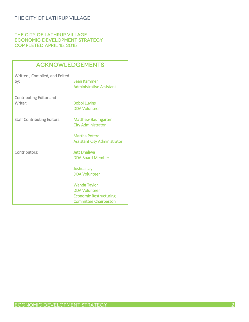#### THE CITY OF LATHRUP VILLAGE Economic Development Strategy Completed April 15, 2015

# **ACKNOWLEDGEMENTS**

| Written, Compiled, and Edited<br>by:      | Sean Kammer<br><b>Administrative Assistant</b>                                                               |
|-------------------------------------------|--------------------------------------------------------------------------------------------------------------|
| <b>Contributing Editor and</b><br>Writer: | <b>Bobbi Luvins</b><br><b>DDA Volunteer</b>                                                                  |
| <b>Staff Contributing Editors:</b>        | <b>Matthew Baumgarten</b><br><b>City Administrator</b>                                                       |
|                                           | Martha Potere<br><b>Assistant City Administrator</b>                                                         |
| Contributors:                             | <b>Jett Dhaliwa</b><br><b>DDA Board Member</b>                                                               |
|                                           | Joshua Lay<br><b>DDA Volunteer</b>                                                                           |
|                                           | <b>Wanda Taylor</b><br><b>DDA Volunteer</b><br><b>Economic Restructuring</b><br><b>Committee Chairperson</b> |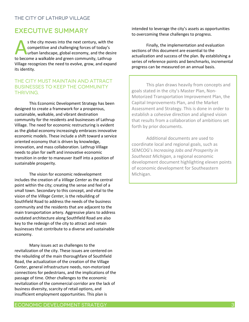# Executive Summary

s the city moves into the next century, with the competitive and challenging forces of today's urban landscape, global economy, and the desire s the city moves into the next century, with the competitive and challenging forces of today's urban landscape, global economy, and the desired to become a walkable and green community, Lathrup Village recognizes the need to evolve, grow, and expand its identity.

#### The city must maintain and attract businesses to keep the community THRIVING.

This Economic Development Strategy has been designed to create a framework for a prosperous, sustainable, walkable, and vibrant destination community for the residents and businesses of Lathrup Village. The need for economic restructuring is evident as the global economy increasingly embraces innovative economic models. These include a shift toward a service oriented economy that is driven by knowledge, innovation, and mass collaboration. Lathrup Village needs to plan for swift and innovative economic transition in order to maneuver itself into a position of sustainable prosperity.

The vision for economic redevelopment includes the creation of a *Village Center* as the central point within the city; creating the sense and feel of a small town. Secondary to this concept, and vital to the vision of the *Village Center*, is the rebuilding of Southfield Road to address the needs of the business community and the residents that are adjacent to the main transportation artery. Aggressive plans to address outdated architecture along Southfield Road are also key to the redesign of the city to attract and retain businesses that contribute to a diverse and sustainable economy.

Many issues act as challenges to the revitalization of the city. These issues are centered on the rebuilding of the main thoroughfare of Southfield Road, the actualization of the creation of the Village Center, general infrastructure needs, non-motorized connections for pedestrians, and the implications of the passage of time. Other challenges to the economic revitalization of the commercial corridor are the lack of business diversity, scarcity of retail options, and insufficient employment opportunities. This plan is

intended to leverage the city's assets as opportunities to overcoming these challenges to progress.

Finally, the implementation and evaluation sections of this document are essential to the actualization and success of the plan. By establishing a series of reference points and benchmarks, incremental progress can be measured on an annual basis.

This plan draws heavily from concepts and goals stated in the city's Master Plan, Non-Motorized Transportation Improvement Plan, the Capital Improvements Plan, and the Market Assessment and Strategy. This is done in order to establish a cohesive direction and aligned vision that results from a collaboration of ambitions set forth by prior documents.

Additional documents are used to coordinate local and regional goals, such as SEMCOG's *Increasing Jobs and Prosperity in Southeast Michigan*, a regional economic development document highlighting eleven points of economic development for Southeastern Michigan.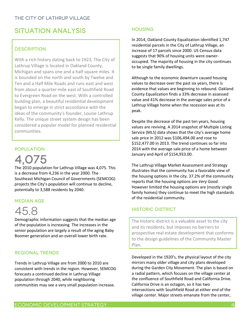# SITUATION ANALYSIS

#### **DESCRIPTION**

With a rich history dating back to 1923, The City of Lathrup Village is located in Oakland County, Michigan and spans one and a half square miles. It is bounded on the north and south by Twelve and Ten and a Half Mile Roads and runs east and west from about a quarter-mile east of Southfield Road to Evergreen Road on the west. With a controlled building plan, a beautiful residential development began to emerge in strict accordance with the ideas of the community's founder, Louise Lathrup Kelly. The unique street system design has been considered a popular model for planned residential communities.

#### **POPULATION**

4,075

The 2010 population for Lathrup Village was 4,075. This is a decrease from 4,236 in the year 2000. The Southeast Michigan Council of Governments (SEMCOG) projects the City's population will continue to decline, potentially to 3,588 residents by 2040.

#### Median Age

# 45.8

Demographic information suggests that the median age of the population is increasing. The increases in the senior population are largely a result of the aging Baby Boomer generation and an overall lower birth rate.

#### Regional Trends

Trends in Lathrup Village are from 2000 to 2010 are consistent with trends in the region. However, SEMCOG forecasts a continued decline in Lathrup Village population through 2040, while neighboring communities may see a very small population increase.

#### **HOUSING**

In 2014, Oakland County Equalization identified 1,747 residential parcels in the City of Lathrup Village, an increase of 17 parcels since 2000. US Census data suggests that 90% of housing units were owneroccupied. The majority of housing in the city continues to be single family dwellings.

Although to the economic downturn caused housing values to decrease over the past six years, there is evidence that values are beginning to rebound. Oakland County Equalization finds a 33% decrease in assessed value and 41% decrease in the average sales price of a Lathrup Village home when the recession was at its peak.

Despite the decrease of the past ten years, housing values are reviving. A 2014 snapshot of Multiple Listing Service (MLS) data shows that the city's average home sale price in 2012 was \$106,494.00 and rose to \$152,477.00 in 2013. The trend continues so far into 2014 with the average sale price of a home between January and April of \$154,933.00.

The Lathrup Village Market Assessment and Strategy illustrates that the community has a favorable view of the housing options in the city. 37.2% of the community reports that the housing options are *Very Good*. However limited the housing options are (mostly single family homes) they continue to meet the high standards of the residential community.

#### Historic District

The historic district is a valuable asset to the city and its residents, but imposes no barriers to prospective real estate development that conforms to the design guidelines of the Community Master Plan.

Developed in the 1920's, the physical layout of the city mirrors many older village and city plans developed during the Garden City Movement. The plan is based on a radial pattern, which focuses on the village center at the confluence of Southfield Road and California Drive. California Drive is an octagon, so it has two intersections with Southfield Road at either end of the village center. Major streets emanate from the center,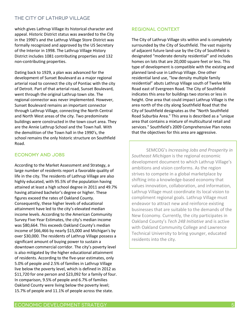which gives Lathrup Village its historical character and appeal. Historic District status was awarded to the City in the 1990's and the Lathrup Village Store District was formally recognized and approved by the US Secretary of the Interior in 1998. The Lathrup Village History District includes 1081 contributing properties and 132 non-contributing properties.

Dating back to 1929, a plan was advanced for the development of Sunset Boulevard as a major regional arterial road to connect the city of Pontiac with the city of Detroit. Part of that arterial road, Sunset Boulevard, went through the original Lathrup town site. The regional connector was never implemented. However, Sunset Boulevard remains an important connector through Lathrup Village, connecting the North Central and North West areas of the city. Two predominate buildings were constructed in the town court area. They are the Annie Lathrup School and the Town hall. With the demolition of the Town hall in the 1990's, the school remains the only historic structure on Southfield Road.

#### Economy and Jobs

According to the Market Assessment and Strategy, a large number of residents report a favorable quality of life in the city. The residents of Lathrup Village are also highly educated, with 95.5% of the population having attained at least a high school degree in 2011 and 49.7% having attained bachelor's degree or higher. These figures exceed the rates of Oakland County. Consequently, these higher levels of educational attainment have led to the city's elevated median income levels. According to the American Community Survey Five-Year Estimates, the city's median income was \$80,664. This exceeds Oakland County's median income of \$66,466 by nearly \$15,000 and Michigan's by over \$30,000. The residents of Lathrup Village possess a significant amount of buying power to sustain a downtown commercial corridor. The city's poverty level is also mitigated by the higher educational attainment of residents. According to the five-year estimates, only 5.0% of people and 2.5% of families in Lathrup Village live below the poverty level, which is defined in 2012 as \$11,720 for one person and \$23,092 for a family of four. In comparison, 9.5% of people and 6.7% of families Oakland County were living below the poverty level; 15.7% of people and 11.1% of people across the state.

#### Regional Context

The City of Lathrup Village sits within and is completely surrounded by the City of Southfield. The vast majority of adjacent future land-use by the City of Southfield is designated "moderate density residential" and includes homes on lots that are 20,000 square feet or less. This type of development is compatible with the existing and planned land-use in Lathrup Village. One other residential land use, "low density multiple family residential" abuts Lathrup Village south of Twelve Mile Road east of Evergreen Road. The City of Southfield indicates this area for buildings two stories or less in height. One area that could impact Lathrup Village is the area north of the city along Southfield Road that the City of Southfield designates as the "North Southfield Road Suburbia Area." This area is described as a "unique area that contains a mixture of multicultural retail and services." Southfield's 2009 Comprehensive Plan notes that the objectives for this area are aggressive.

SEMCOG's *Increasing Jobs and Prosperity in Southeast Michigan* is the regional economic development document to which Lathrup Village's ambitions and vision conforms. As the region strives to compete in a global marketplace by shifting into a knowledge-based economy that values innovation, collaboration, and information, Lathrup Village must coordinate its local vision to compliment regional goals. Lathrup Village must endeavor to attract new and reinforce existing businesses that are suitable to the demands of the New Economy. Currently, the city participates in Oakland County's *Tech 248 Initiative* and is active with Oakland Community College and Lawrence Technical University to bring younger, educated residents into the city.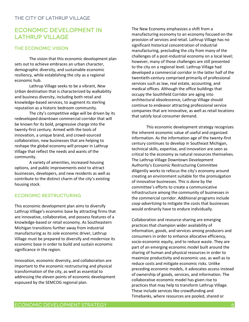## Economic Development in Lathrup Village

#### THE ECONOMIC VISION

The vision that this economic development plan sets out to achieve embraces an urban character, demographic diversity, and sustainable economic resiliency, while establishing the city as a regional economic hub.

Lathrup Village seeks to be a vibrant, *New Urban* destination that is characterized by walkability and business diversity, including both retail and knowledge-based services, to augment its sterling reputation as a historic bedroom community.

The city's competitive edge will be driven by its redeveloped downtown commercial corridor that will be known for its bold, progressive charge into the twenty-first century. Armed with the tools of innovation, a unique brand, and crowd-sourced collaboration, new businesses that are helping to reshape the global economy will prosper in Lathrup Village that reflect the needs and wants of the community.

A variety of amenities, increased housing options, and public improvements exist to attract businesses, developers, and new residents as well as contribute to the distinct charm of the city's existing housing stock.

#### Economic Restructuring

This economic development plan aims to diversify Lathrup Village's economic base by attracting firms that are innovative, collaborative, and possess features of a knowledge-based or retail economy. As Southeastern Michigan transitions further away from industrial manufacturing as its sole economic driver, Lathrup Village must be prepared to diversify and modernize its economic base in order to build and sustain economic significance in the region.

Innovation, economic diversity, and collaboration are important to the economic restructuring and physical transformation of the city, as well as essential to addressing the eleven points of economic development espoused by the SEMCOG regional plan.

The New Economy emphasizes a shift from a manufacturing economy to an economy focused on the provision of services and retail. Lathrup Village has no significant historical concentration of industrial manufacturing, precluding the city from many of the challenges of a post-industrial economy on a local level; however, many of those challenges are still presented to the city on a regional level. Lathrup Village had developed a commercial corridor in the latter half of the twentieth-century comprised primarily of professional services such as law, real estate, accounting, and medical offices. Although the office buildings that occupy the Southfield Corridor are aging into architectural obsolescence, Lathrup Village should continue to endeavor attracting professional service companies that are innovative, as well as retail locations that satisfy local consumer demand.

This economic development strategy recognizes the inherent economic value of useful and organized information. As the information age of the twenty-first century continues to develop in Southeast Michigan, technical skills, expertise, and innovation are seen as critical to the economy as natural resources themselves. The Lathrup Village Downtown Development Authority's Economic Restructuring Committee diligently works to refocus the city's economy around creating an environment suitable for the promulgation of innovative businesses. This is done by the committee's efforts to create a communicative infrastructure among the community of businesses in the commercial corridor. Additional programs include *coop advertizing* to mitigate the costs that businesses would ordinarily have to endure individually.

Collaboration and resource-sharing are emerging practices that champion wider availability of information, goods, and services among producers and consumers in order to enhance allocative efficiency, socio-economic equity, and to reduce waste. They are part of an emerging economic model built around the sharing of human and physical resources in order to maximize productivity and economic use, as well as to reduce costs and mitigate economic risks. Unlike preceding economic models, it advocates access instead of ownership of goods, services, and information. The collaborative economic model has given rise to practices that may help to transform Lathrup Village. These include services like crowdfunding and Timebanks, where resources are pooled, shared or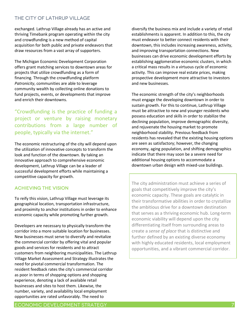exchanged. Lathrup Village already has an active and thriving Timebank program operating within the city and crowdfunding is a new method of capital acquisition for both public and private endeavors that draw resources from a vast array of supporters.

The Michigan Economic Development Corporation offers grant matching services to downtown areas for projects that utilize crowdfunding as a form of financing. Through the crowdfunding platform *Patronicity*, communities are able to leverage community wealth by collecting online donations to fund projects, events, or developments that improve and enrich their downtowns.

"Crowdfunding is the practice of funding a project or venture by raising monetary contributions from a large number of people, typically via the internet."

The economic restructuring of the city will depend upon the utilization of innovative concepts to transform the look and function of the downtown. By taking an innovative approach to comprehensive economic development, Lathrup Village can be a leader of successful development efforts while maintaining a competitive capacity for growth.

#### Achieving the Vision

To reify this vision, Lathrup Village must leverage its geographical location, transportation infrastructure, and proximity to anchor institutions in order to enhance economic capacity while promoting further growth.

Developers are necessary to physically transform the corridor into a more suitable location for businesses. New businesses must serve to diversify and revitalize the commercial corridor by offering vital and popular goods and services for residents and to attract customers from neighboring municipalities. The Lathrup Village Market Assessment and Strategy illustrates the need for pivotal commercial transformation. The resident feedback rates the city's commercial corridor as poor in terms of shopping options and shopping experience, denoting a lack of available retail businesses and sites to host them. Likewise, the number, variety, and availability local employment opportunities are rated unfavorably. The need to

diversify the business mix and include a variety of retail establishments is apparent. In addition to this, the city must endeavor to better connect residents with their downtown, this includes increasing awareness, activity, and improving transportation connections. New businesses can drive economic development efforts by establishing agglomerative economic clusters, in which a critical mass results in a virtuous cycle of economic activity. This can improve real estate prices, making prospective development more attractive to investors and new businesses.

The economic strength of the city's neighborhoods must engage the developing downtown in order to sustain growth. For this to continue, Lathrup Village must be attractive to new and younger residents who possess education and skills in order to stabilize the declining population, improve demographic diversity, and rejuvenate the housing market to promote neighborhood stability. Previous feedback from residents has revealed that the existing housing options are seen as satisfactory; however, the changing economy, aging population, and shifting demographics indicate that there may soon be a severe need for additional housing options to accommodate a downtown urban design with mixed-use buildings.

The city administration must achieve a series of goals that competitively improve the city's economic capacity. These goals are catalytic in their transformative abilities in order to crystallize the ambitious drive for a downtown destination that serves as a thriving economic hub. Long-term economic viability will depend upon the city differentiating itself from surrounding areas to create a *sense of place* that is distinctive and further defined by an existing diverse economy with highly educated residents, local employment opportunities, and a vibrant commercial corridor.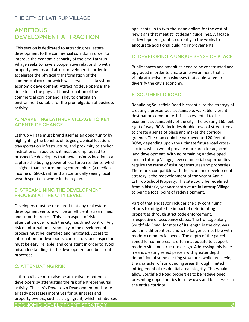# **AMBITIOUS** Development Attraction

This section is dedicated to attracting real estate development to the commercial corridor in order to improve the economic capacity of the city. Lathrup Village seeks to have a cooperative relationship with property owners and attract developers in order to accelerate the physical transformation of the commercial corridor which will serve as a catalyst for economic development. Attracting developers is the first step in the physical transformation of the commercial corridor and is key to crafting an environment suitable for the promulgation of business activity.

#### a. Marketing Lathrup Village to key agents of change

Lathrup Village must brand itself as an opportunity by highlighting the benefits of its geographical location, transportation infrastructure, and proximity to anchor institutions. In addition, it must be emphasized to prospective developers that new business locations can capture the buying power of local area residents, which is higher than in surrounding communities (a median income of \$80k), rather than continually seeing local wealth spent elsewhere in the region.

#### b. Streamlining the Development PROCESS AT THE CITY LEVEL

Developers must be reassured that any real estate development venture will be an efficient, streamlined, and smooth process. This is an aspect of risk attenuation over which the city has direct control. Any risk of information asymmetry in the development process must be identified and mitigated. Access to information for developers, contractors, and inspectors must be easy, reliable, and consistent in order to avoid misunderstandings in the development and build-out processes.

#### c. Attenuating Risk

Lathrup Village must also be attractive to potential developers by attenuating the risk of entrepreneurial activity. The city's Downtown Development Authority already possesses incentives for businesses and property owners, such as a sign grant, which reimburses

applicants up to two-thousand dollars for the cost of new signs that meet strict design guidelines. A façade redevelopment grant is currently in the works to encourage additional building improvements.

#### d. Developing a Unique Sense of Place

Public spaces and amenities need to be constructed and upgraded in order to create an environment that is visibly attractive to businesses that could serve to diversify the city's economy.

#### e. Southfield Road

Rebuilding Southfield Road is essential to the strategy of creating a prosperous, sustainable, walkable, vibrant destination community. It is also essential to the economic sustainability of the city. The existing 160 feet right of way (R0W) includes double rows of street trees to create a sense of place and makes the corridor greener. The road could be narrowed to 120 feet of ROW, depending upon the ultimate future road crosssection, which would provide more area for adjacent land development. With no remaining undeveloped land in Lathrup Village, new commercial opportunities require the reuse of existing structures and properties. Therefore, compatible with the economic development strategy is the redevelopment of the vacant Annie Lathrup School Property. This site could be redefined from a historic, yet vacant structure in Lathrup Village to being a focal point of redevelopment.

Part of that endeavor includes the city continuing efforts to mitigate the impact of deteriorating properties through strict code enforcement, irrespective of occupancy status. The frontage along Southfield Road, for most of its length in the city, was built in a different era and is no longer compatible with modern commercial needs. The depth of the parcel zoned for commercial is often inadequate to support modern site and structure design. Addressing this issue means creating select parcels with greater depth, demolition of some existing structures while preserving the character of surrounding areas through limited infringement of residential area integrity. This would allow Southfield Road properties to be redeveloped, presenting opportunities for new uses and businesses in the entire corridor.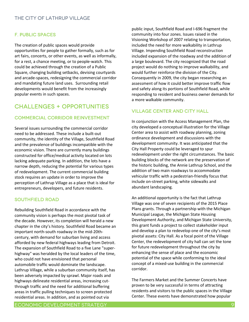#### f. Public Spaces

The creation of public spaces would provide opportunities for people to gather formally, such as for art fairs, concerts, or other events, as well as informally, for a rest, a chance meeting, or to people-watch. This could be achieved through the creation of a Public Square, changing building setbacks, devising courtyards and arcade-spaces, redesigning the commercial corridor and mandating future land uses. Surrounding retail developments would benefit from the increasingly popular events in such spaces.

# Challenges + opportunities

#### Commercial corridor reinvestment

Several issues surrounding the commercial corridor need to be addressed. These include a built-out community, the identity of the Village, Southfield Road and the prevalence of buildings incompatible with the economic vision. There are currently many buildings constructed for office/medical activity located on lots lacking adequate parking. In addition, the lots have a narrow depth, reducing the potential for various types of redevelopment. The current commercial building stock requires an update in order to improve the perception of Lathrup Village as a place that is ideal for entrepreneurs, developers, and future residents.

#### Southfield Road

Rebuilding Southfield Road in accordance with the community vision is perhaps the most pivotal task of the decade. However, its completion will herald a new chapter in the city's history. Southfield Road became an important north-south roadway in the mid-20thcentury, with demand for suburban living and access afforded by new federal highways leading from Detroit. The expansion of Southfield Road to a five Lane "superhighway" was heralded by the local leaders of the time, who could not have envisioned that personal automobile traffic would dominate the landscape. Lathrup Village, while a suburban community itself, has been adversely impacted by sprawl. Major roads and highways delineate residential areas, increasing cutthrough traffic and the need for additional buffering areas in traffic pulling techniques to screen protected residential areas. In addition, and as pointed out via

public input, Southfield Road and I-696 fragment the community into four zones. Issues raised in the Visioning Workshop of 2007 relating to transportation, included the need for more walkability in Lathrup Village. Impending Southfield Road reconstruction included expansion of the roadway and the addition of a large boulevard. The city recognized that the road project would do nothing to improve walkability, and would further reinforce the division of the City. Consequently in 2009, the city began researching an assessment of how it could better improve traffic flow and safety along its portions of Southfield Road, while responding to resident and business owner demands for a more walkable community.

#### Village Center and City Hall

In conjunction with the Access Management Plan, the city developed a conceptual illustration for the Village Center area to assist with roadway planning, zoning ordinance development and discussions with the development community. It was anticipated that the City Hall Property could be leveraged to spur redevelopment under the right circumstances. The basic building blocks of the network are the preservation of the historic building, the Annie Lathrup School, and the addition of two main roadways to accommodate vehicular traffic with a pedestrian-friendly focus that include on-street parking, white sidewalks and abundant landscaping.

An additional opportunity is the fact that Lathrup Village was one of seven recipients of the 2015 Place Plans grants. Through a partnership with the Michigan Municipal League, the Michigan State Housing Development Authority, and Michigan State University, this grant funds a project to collect stakeholder input and develop a plan to redevelop one of the city's most pivotal assets: City Hall. As a focal point of the Village Center, the redevelopment of city hall can set the tone for future redevelopment throughout the city by enhancing the sense of place and the economic potential of the space while conforming to the ideal concept of a mixed-use building in the commercial corridor.

The Farmers Market and the Summer Concerts have proven to be very successful in terms of attracting residents and visitors to the public spaces in the Village Center. These events have demonstrated how popular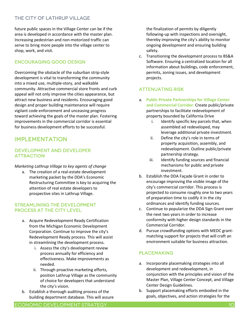future public spaces in the Village Center can be if the area is developed in accordance with the master plan. Increasing pedestrian and non-motorized traffic can serve to bring more people into the village center to shop, work, and visit.

#### Encouraging Good Design

Overcoming the obstacle of the suburban strip-style development is vital to transforming the community into a mixed use, multiple-story, and walkable community. Attractive commercial store fronts and curb appeal will not only improve the cities appearance, but attract new business and residents. Encouraging good design and proper building maintenance will require vigilant code enforcement and unceasing progress toward achieving the goals of the master plan. Fostering improvements in the commercial corridor is essential for business development efforts to be successful.

# IMPLEMENTATION

#### Development and Developer **ATTRACTION**

*Marketing Lathrup Village to key agents of change*

a. The creation of a real-estate development marketing packet by the DDA's Economic Restructuring Committee is key to acquiring the attention of real estate developers to prospective sites in Lathrup Village.

#### Streamlining the development process at the city level

- a. Acquire Redevelopment Ready Certification from the Michigan Economic Development Corporation. Continue to improve the city's Redevelopment Ready process. This will assist in streamlining the development process.
	- i. Assess the city's development review process annually for efficiency and effectiveness. Make improvements as needed.
	- ii. Through proactive marketing efforts, position Lathrup Village as the community of choice for developers that understand the city's vision.
- b. Establish a thorough auditing process of the building department database. This will assure

the finalization of permits by diligently following-up with inspections and oversight, thereby improving the city's ability to monitor ongoing development and ensuring building safety.

c. Transitioning the development process to BS&A Software. Ensuring a centralized location for all information about buildings, code enforcement, permits, zoning issues, and development projects.

#### Attenuating risk

- a. **Public Private Partnerships for Village Center and Commercial Corridor**: Create public/private partnerships to facilitate redevelopment of property bounded by California Drive
	- i. Identify specific key parcels that, when assembled ad redeveloped, may leverage additional private investment.
	- ii. Define the city's role in terms of property acquisition, assembly, and redevelopment. Outline public/private partnership strategy.
	- iii. Identify funding sources and financial mechanisms for public and private investment.
- b. Establish the DDA Façade Grant in order to encourage improving the visible image of the city's commercial corridor. This process is projected to consume roughly one to two years of preparation time to codify it in the city ordinances and identify funding sources.
- c. Continue to popularize the DDA Sign Grant over the next two years in order to increase conformity with higher design standards in the Commercial Corridor.
- d. Pursue crowdfunding options with MEDC grantmatching support for projects that will craft an environment suitable for business attraction.

#### **PLACEMAKING**

- a. Incorporate placemaking strategies into all development and redevelopment, in conjunction with the principles and vision of the Master Plan, Village Center Concept, and Village Center Design Guidelines.
- b. Support placemaking efforts embodied in the goals, objectives, and action strategies for the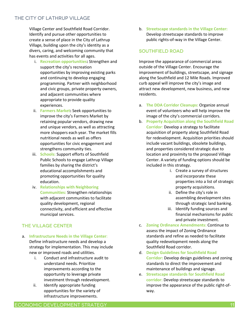Village Center and Southfield Road Corridor. Identify and pursue other opportunities to create a sense of place in the City of Lathrup Village, building upon the city's identity as a divers, caring, and welcoming community that has events and activities for all ages.

- i. **Recreation opportunities:** Strengthen and support the city's recreation opportunities by improving existing parks and continuing to develop engaging programming. Partner with neighborhood and civic groups, private property owners, and adjacent communities where appropriate to provide quality experiences.
- ii. **Farmers Market:** Seek opportunities to improve the city's Farmers Market by retaining popular vendors, drawing new and unique vendors, as well as attracting more shoppers each year. The market fills nutritional needs as well as offers opportunities for civic engagement and strengthens community ties.
- iii. **Schools:** Support efforts of Southfield Public Schools to engage Lathrup Village families by sharing the district's educational accomplishments and promoting opportunities for quality education.
- iv. **Relationships with Neighboring Communities:** Strengthen relationships with adjacent communities to facilitate quality development, regional connectivity, and efficient and effective municipal services.

#### The Village Center

- a. **Infrastructure Needs in the Village Center**: Define infrastructure needs and develop a strategy for implementation. This may include new or improved roads and utilities.
	- i. Conduct and infrastructure audit to understand needs. Prioritize improvements according to the opportunity to leverage private investment through redevelopment.
	- ii. Identify appropriate funding opportunities for the variety of infrastructure improvements.

b. **Streetscape standards in the Village Center:** Develop streetscape standards to improve public rights-of-way in the Village Center.

#### Southfield Road

Improve the appearance of commercial areas outside of the Village Center. Encourage the improvement of buildings, streetscape, and signage along the Southfield and 12 Mile Roads. Improved curb appeal will improve the city's image and attract new development, new business, and new residents.

- a. **The DDA Corridor Cleanups:** Organize annual event of volunteers who will help improve the image of the city's commercial corridors.
- b. **Property Acquisition along the Southfield Road Corridor**: Develop a strategy to facilitate acquisition of property along Southfield Road for redevelopment. Acquisition priorities should include vacant buildings, obsolete buildings, and properties considered strategic due to location and proximity to the proposed Village Center. A variety of funding options should be included in this strategy.
	- i. Create a survey of structures and incorporate these properties into a list of strategic property acquisitions.
	- ii. Define the city's role in assembling development sites through strategic land banking.
	- iii. Identify funding sources and financial mechanisms for public and private investment.
- c. **Zoning Ordinance Amendments:** Continue to assess the impact of Zoning Ordinance standards and refine as needed to facilitate quality redevelopment needs along the Southfield Road corridor.
- d. **Design Guidelines for Southfield Road Corridor:** Develop design guidelines and zoning standards to direct the improvement and maintenance of buildings and signage.
- e. **Streetscape standards for Southfield Road corridor:** Develop streetscape standards to improve the appearance of the public right-ofway.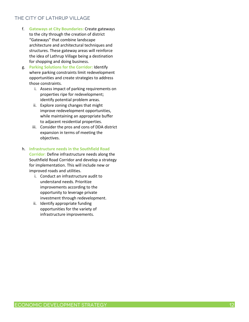- f. **Gateways at City Boundaries:** Create gateways to the city through the creation of district "Gateways" that combine landscape architecture and architectural techniques and structures. These gateway areas will reinforce the idea of Lathrup Village being a destination for shopping and doing business.
- g. **Parking Solutions for the Corridor:** Identify where parking constraints limit redevelopment opportunities and create strategies to address those constraints.
	- i. Assess impact of parking requirements on properties ripe for redevelopment; identify potential problem areas.
	- ii. Explore zoning changes that might improve redevelopment opportunities, while maintaining an appropriate buffer to adjacent residential properties.
	- iii. Consider the pros and cons of DDA district expansion in terms of meeting the objectives.
- h. **Infrastructure needs in the Southfield Road Corridor**: Define infrastructure needs along the Southfield Road Corridor and develop a strategy for implementation. This will include new or improved roads and utilities.
	- i. Conduct an infrastructure audit to understand needs. Prioritize improvements according to the opportunity to leverage private investment through redevelopment.
	- ii. Identify appropriate funding opportunities for the variety of infrastructure improvements.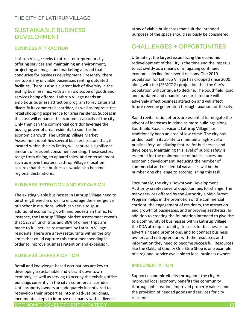# Sustainable Business **DEVELOPMENT**

#### Business Attraction

Lathrup Village seeks to attract entrepreneurs by offering services and maintaining an environment, projecting an image, and marketing a brand that is conducive for business development. Presently, there are too many unviable businesses renting outdated facilities. There is also a current lack of diversity in the exiting business mix, with a narrow scope of goods and services being offered. Lathrup Village needs an ambitious business attraction program to revitalize and diversify its commercial corridor, as well as improve the retail shopping experience for area residents. Success in this task will enhance the economic capacity of the city. Only then can the commercial corridor leverage the buying power of area residents to spur further economic growth. The Lathrup Village Market Assessment identifies several business sectors that, if located within the city limits, will capture a significant amount of resident consumer spending. These sectors range from dining, to apparel sales, and entertainment such as movie theaters. Lathrup Village's location assures that these businesses would also become regional destinations.

#### Business Retention and Expansion

The existing viable businesses in Lathrup Village need to be strengthened in order to encourage the emergence of anchor institutions, which can serve to spur additional economic growth and pedestrian traffic. For instance, the Lathrup Village Market Assessment reveals that 52% of lunch trips and 86% of dinner trips are made to full-service restaurants by Lathrup Village residents. There are a few restaurants within the city limits that could capture this consumer spending in order to improve business retention and expansion.

#### Business Diversification

Retail and knowledge-based occupations are key to developing a sustainable and vibrant downtown economy, as well as serving to occupy the existing office buildings currently in the city's commercial corridor. Until property owners are adequately incentivized to redevelop their properties into mixed-use buildings, incremental steps to improve occupancy with a diverse

array of viable businesses that suit the intended purposes of the space should seriously be considered.

### Challenges + opportunities

Ultimately, the largest issue facing the economic redevelopment of the City is the time and the impetus to act swiftly as a means of mitigating continued economic decline for several reasons. The 2010 population for Lathrup Village has dropped since 2000, along with the (SEMCOG) projection that the City's population will continue to decline. The Southfield Road and outdated and unaddressed architecture will adversely affect business attraction and will affect future revenue generation through taxation for the city.

Rapid revitalization efforts are essential to mitigate the advent of increases in crime as more buildings along Southfield Road sit vacant. Lathrup Village has traditionally been an area of low crime. The city has prided itself in its ability to maintain a high level of public safety- an alluring feature for businesses and developers. Maintaining this level of public safety is essential for the maintenance of public spaces and economic development. Reducing the number of commercial and residential vacancies will be the number one challenge to accomplishing this task.

Fortunately, the city's Downtown Development Authority creates several opportunities for change. The many services offered by the Authority's Main Street Program helps in the promotion of the commercial corridor, the engagement of residents, the attraction and growth of businesses, and improving aesthetics. In addition to creating the foundation intended to give rise to a community of businesses within Lathrup Village, the DDA attempts to mitigate costs for businesses for advertizing and promotions, and to connect business owners and entrepreneurs with the resources and information they need to become successful. Resources like the Oakland County One Stop Shop is one example of a regional service available to local business owners.

#### **IMPLEMENTATION**

Support economic vitality throughout the city. An improved local economy benefits the community thorough job creation, improved property values, and the provision of needed goods and services for city residents.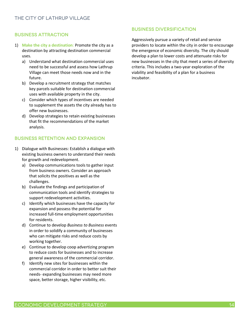#### Business Attraction

- 1) **Make the city a destination**: Promote the city as a destination by attracting destination commercial uses.
	- a) Understand what destination commercial uses need to be successful and assess how Lathrup Village can meet those needs now and in the future.
	- b) Develop a recruitment strategy that matches key parcels suitable for destination commercial uses with available property in the city.
	- c) Consider which types of incentives are needed to supplement the assets the city already has to offer new businesses.
	- d) Develop strategies to retain existing businesses that fit the recommendations of the market analysis.

#### Business Retention and Expansion

- 1) Dialogue with Businesses: Establish a dialogue with existing business owners to understand their needs for growth and redevelopment.
	- a) Develop communications tools to gather input from business owners. Consider an approach that solicits the positives as well as the challenges.
	- b) Evaluate the findings and participation of communication tools and identify strategies to support redevelopment activities.
	- c) Identify which businesses have the capacity for expansion and possess the potential for increased full-time employment opportunities for residents.
	- d) Continue to develop *Business to Business* events in order to solidify a community of businesses who can mitigate risks and reduce costs by working together.
	- e) Continue to develop coop advertizing program to reduce costs for businesses and to increase general awareness of the commercial corridor.
	- f) Identify new sites for businesses within the commercial corridor in order to better suit their needs- expanding businesses may need more space, better storage, higher visibility, etc.

#### Business Diversification

Aggressively pursue a variety of retail and service providers to locate within the city in order to encourage the emergence of economic diversity. The city should develop a plan to lower costs and attenuate risks for new businesses in the city that meet a series of diversity criteria. This includes a two-year exploration of the viability and feasibility of a plan for a business incubator.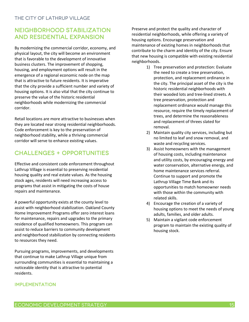# Neighborhood Stabilization and residential expansion

By modernizing the commercial corridor, economy, and physical layout, the city will become an environment that is favorable to the development of innovative business clusters. The improvement of shopping, housing, and employment options will result in the emergence of a regional economic node on the map that is attractive to future residents. It is imperative that the city provide a sufficient number and variety of housing options. It is also vital that the city continue to preserve the value of the historic residential neighborhoods while modernizing the commercial corridor.

Retail locations are more attractive to businesses when they are located near strong residential neighborhoods. Code enforcement is key to the preservation of neighborhood stability, while a thriving commercial corridor will serve to enhance existing values.

# Challenges + opportunities

Effective and consistent code enforcement throughout Lathrup Village is essential to preserving residential housing quality and real estate values. As the housing stock ages, residents will need increasing access to programs that assist in mitigating the costs of house repairs and maintenance.

A powerful opportunity exists at the county level to assist with neighborhood stabilization. Oakland County Home Improvement Programs offer zero interest loans for maintenance, repairs and upgrades to the primary residence of qualified homeowners. This program can assist to reduce barriers to community development and neighborhood stabilization by connecting residents to resources they need.

Pursuing programs, improvements, and developments that continue to make Lathrup Village unique from surrounding communities is essential to maintaining a noticeable identity that is attractive to potential residents.

#### **IMPLEMENTATION**

Preserve and protect the quality and character of residential neighborhoods, while offering a variety of housing options. Encourage preservation and maintenance of existing homes in neighborhoods that contribute to the charm and identity of the city. Ensure that new housing is compatible with existing residential neighborhoods.

- 1) Tree preservation and protection: Evaluate the need to create a tree preservation, protection, and replacement ordinance in the city. The principal asset of the city is the historic residential neighborhoods with their wooded lots and tree-lined streets. A tree preservation, protection and replacement ordinance would manage this resource, require the timely replacement of trees, and determine the reasonableness and replacement of threes slated for removal.
- 2) Maintain quality city services, including but no limited to leaf and snow removal, and waste and recycling services.
- 3) Assist homeowners with the management of housing costs, including maintenance and utility costs, by encouraging energy and water conservation, alternative energy, and home maintenance services referral. Continue to support and promote the Lathrup Village Time Bank and its opportunities to match homeowner needs with those within the community with related skills.
- 4) Encourage the creation of a variety of housing options to meet the needs of young adults, families, and older adults.
- 5) Maintain a vigilant code enforcement program to maintain the existing quality of housing stock.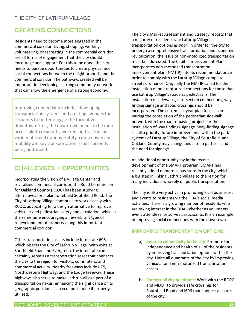# Creating Connections

Residents need to become more engaged in the commercial corridor. Living, shopping, working, volunteering, or recreating in the commercial corridor are all forms of engagement that the city should encourage and support. For this to be done, the city needs to pursue opportunities to create physical and social connections between the neighborhoods and the commercial corridor. The pathways created will be important in developing a strong community network that can allow the emergence of a strong economy.

Improving connectivity includes developing transportation systems and creating avenues for residents to better engage the formative downtown. First, the downtown needs to be more accessible to residents, workers and visitors by a variety of travel options. Safety, connectivity and mobility are key transportation issues currently being addressed.

# Challenges + opportunities

Incorporating the vision of a Village Center and revitalized commercial corridor, the Road Commission for Oakland County (RCOC) has been studying alternatives for a plan to rebuild Southfield Road. The City of Lathrup Village continues to work closely with RCOC, advocating for a design alternative to improve vehicular and pedestrian safety and circulation, while at the same time encouraging a new vibrant type of redevelopment of property along this important commercial corridor.

Other transportation assets include Interstate 696, which bisects the City of Lathrup Village. With exits at Southfield Road and Evergreen, the interstate can certainly serve as a transportation asset that connects the city to the region for visitors, commuters, and commercial activity. Nearby freeways include I-75, Northwestern Highway, and the Lodge Freeway. These highways also serve to make Lathrup Village part of a transportation nexus, enhancing the significance of its geographic position as an economic node if properly utilized.

The city's Market Assessment and Strategy reports that a majority of residents rate Lathrup Village's transportation options as *poor*. In order for the city to undergo a comprehensive transformation and economic revitalization, the issue of non-motorized transportation must be addressed. The Capital Improvement Plan incorporates non-motorized transportation improvement plan (NMTIP) into its recommendations in order to comply with the Lathrup Village complete streets ordinance. Originally the NMTIP called for the installation of non-motorized connections for those that use Lathrup Village's roads as pedestrians. The installation of sidewalks, intersection connections, wayfinding signage and road crossings should be incorporated. The current six-year plan focuses on pairing the completion of the pedestrian sidewalk network with the road re-paving projects or the installation of way findings signage. Way-finding signage is still a priority; future improvements within the park systems of Lathrup Village, the City of Southfield, and Oakland County may change pedestrian patterns and the need for signage.

An additional opportunity lay in the recent development of the SMART program. SMART has recently added numerous bus stops in the city, which is a big step in linking Lathrup Village to the region for many individuals who rely on public transportation.

The city is also very active in promoting local businesses and events to residents via the DDA's social media activities. There is a growing number of residents who are taking interest in the DDA, whether as volunteers, event attendees, or survey participants. It is an example of improving social connections with the downtown.

#### Improving Transportation Options

- a) **Improve connectivity in the city**: Promote the independence and health of all of the residents by improving transportation options within the city. Unite all quadrants of the city by improving vehicular and non-motorized transportation access.
- b) **Connect all city quadrants**: Work with the RCOC and MDOT to provide safe crossings for Southfield Road and I696 that connect all parts of the city.